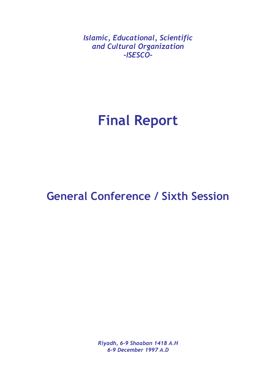*Islamic, Educational, Scientific and Cultural Organization -ISESCO-*

# **Final Report**

# **General Conference / Sixth Session**

*Riyadh, 6-9 Shaaban 1418 A.H 6-9 December 1997 A.D*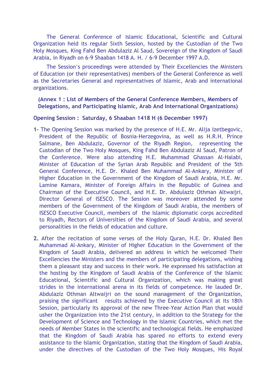The General Conference of Islamic Educational, Scientific and Cultural Organization held its regular Sixth Session, hosted by the Custodian of the Two Holy Mosques, King Fahd Ben Abdulaziz Al Saud, Sovereign of the Kingdom of Saudi Arabia, in Riyadh on 6-9 Shaaban 1418 A. H. / 6-9 December 1997 A.D.

The Session's proceedings were attended by Their Excellencies the Ministers of Education (or their representatives) members of the General Conference as well as the Secretaries General and representatives of Islamic, Arab and international organizations.

# **(Annex 1 : List of Members of the General Conference Members, Members of Delegations, and Participating Islamic, Arab And International Organizations)**

#### **Opening Session : Saturday, 6 Shaaban 1418 H (6 December 1997)**

- **1-** The Opening Session was marked by the presence of H.E. Mr. Alija Izetbegovic, President of the Republic of Bosnia-Herzegovina, as well as H.R.H. Prince Salmane, Ben Abdulaziz, Governor of the Riyadh Region, representing the Custodian of the Two Holy Mosques, King Fahd Ben Abdulaziz Al Saud, Patron of the Conference. Were also attending H.E. Muhammad Ghassan Al-Halabi, Minister of Education of the Syrian Arab Republic and President of the 5th General Conference, H.E. Dr. Khaled Ben Muhammad Al-Ankary, Minister of Higher Education in the Government of the Kingdom of Saudi Arabia, H.E. Mr. Lamine Kamara, Minister of Foreign Affairs in the Republic of Guinea and Chairman of the Executive Council, and H.E. Dr. Abdulaziz Othman Altwaijri, Director General of ISESCO. The Session was moreover attended by some members of the Government of the Kingdom of Saudi Arabia, the members of ISESCO Executive Council, members of the Islamic diplomatic corps accredited to Riyadh, Rectors of Universities of the Kingdom of Saudi Arabia, and several personalities in the fields of education and culture.
- **2.** After the recitation of some verses of the Holy Quran, H.E. Dr. Khaled Ben Muhammad Al-Ankary, Minister of Higher Education in the Government of the Kingdom of Saudi Arabia, delivered an address in which he welcomed Their Excellencies the Ministers and the members of participating delegations, wishing them a pleasant stay and success in their work. He expressed his satisfaction at the hosting by the Kingdom of Saudi Arabia of the Conference of the Islamic Educational, Scientific and Cultural Organization, which was making great strides in the international arena in its fields of competence. He lauded Dr. Abdulaziz Othman Altwaijri on the sound management of the Organization, praising the significant results achieved by the Executive Council at its 18th Session, particularly its approval of the new Three-Year Action Plan that would usher the Organization into the 21st century, in addition to the Strategy for the Development of Science and Technology in the Islamic Countries, which met the needs of Member States in the scientific and technological fields. He emphasized that the Kingdom of Saudi Arabia has spared no efforts to extend every assistance to the Islamic Organization, stating that the Kingdom of Saudi Arabia, under the directives of the Custodian of the Two Holy Mosques, His Royal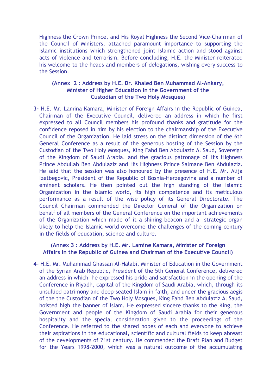Highness the Crown Prince, and His Royal Highness the Second Vice-Chairman of the Council of Ministers, attached paramount importance to supporting the Islamic institutions which strengthened joint Islamic action and stood against acts of violence and terrorism. Before concluding, H.E. the Minister reiterated his welcome to the heads and members of delegations, wishing every success to the Session.

# **(Annex 2 : Address by H.E. Dr. Khaled Ben Muhammad Al-Ankary, Minister of Higher Education in the Government of the Custodian of the Two Holy Mosques)**

**3-** H.E. Mr. Lamina Kamara, Minister of Foreign Affairs in the Republic of Guinea, Chairman of the Executive Council, delivered an address in which he first expressed to all Council members his profound thanks and gratitude for the confidence reposed in him by his election to the chairmanship of the Executive Council of the Organization. He laid stress on the distinct dimension of the 6th General Conference as a result of the generous hosting of the Session by the Custodian of the Two Holy Mosques, King Fahd Ben Abdulaziz Al Saud, Sovereign of the Kingdom of Saudi Arabia, and the gracious patronage of His Highness Prince Abdullah Ben Abdulaziz and His Highness Prince Salmane Ben Abdulaziz. He said that the session was also honoured by the presence of H.E. Mr. Alija Izetbegovic, President of the Republic of Bosnia-Herzegovina and a number of eminent scholars. He then pointed out the high standing of the Islamic Organization in the Islamic world, its high competence and its meticulous performance as a result of the wise policy of its General Directorate. The Council Chairman commended the Director General of the Organization on behalf of all members of the General Conference on the important achievements of the Organization which made of it a shining beacon and a strategic organ likely to help the Islamic world overcome the challenges of the coming century in the fields of education, science and culture.

#### **(Annex 3 : Address by H.E. Mr. Lamine Kamara, Minister of Foreign Affairs in the Republic of Guinea and Chairman of the Executive Council)**

**4-** H.E. Mr. Muhammad Ghassan Al-Halabi, Minister of Education in the Government of the Syrian Arab Republic, President of the 5th General Conference, delivered an address in which he expressed his pride and satisfaction in the opening of the Conference in Riyadh, capital of the Kingdom of Saudi Arabia, which, through its unsullied patrimony and deep-seated Islam in faith, and under the gracious aegis of the the Custodian of the Two Holy Mosques, King Fahd Ben Abdulaziz Al Saud, hoisted high the banner of Islam. He expressed sincere thanks to the King, the Government and people of the Kingdom of Saudi Arabia for their generous hospitality and the special consideration given to the proceedings of the Conference. He referred to the shared hopes of each and everyone to achieve their aspirations in the educational, scientific and cultural fields to keep abreast of the developments of 21st century. He commended the Draft Plan and Budget for the Years 1998-2000, which was a natural outcome of the accumulating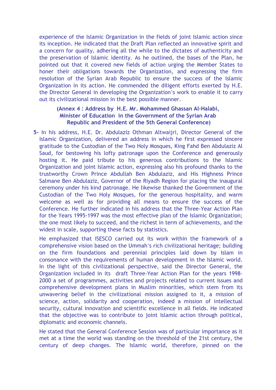experience of the Islamic Organization in the fields of joint Islamic action since its inception. He indicated that the Draft Plan reflected an innovative spirit and a concern for quality, adhering all the while to the dictates of authenticity and the preservation of Islamic identity. As he outlined, the bases of the Plan, he pointed out that it covered new fields of action urging the Member States to honer their obligations towards the Organization, and expressing the firm resolution of the Syrian Arab Republic to ensure the success of the Islamic Organization in its action. He commended the diligent efforts exerted by H.E. the Director General in developing the Organization's work to enable it to carry out its civilizational mission in the best possible manner.

# **(Annex 4 : Address by H.E. Mr. Mohammed Ghassan Al-Halabi, Minister of Education in the Government of the Syrian Arab Republic and President of the 5th General Conference)**

**5-** In his address, H.E. Dr. Abdulaziz Othman Altwaijri, Director General of the Islamic Organization, delivered an address in which he first expressed sincere gratitude to the Custodian of the Two Holy Mosques, King Fahd Ben Abdulaziz Al Saud, for bestowing his lofty patronage upon the Conference and generously hosting it. He paid tribute to his generous contributions to the Islamic Organization and joint Islamic action, expressing also his profound thanks to the trustworthy Crown Prince Abdullah Ben Abdulaziz, and His Highness Prince Salmane Ben Abdulaziz, Governor of the Riyadh Region for placing the inaugural ceremony under his kind patronage. He likewise thanked the Government of the Custodian of the Two Holy Mosques, for the generous hospitality, and warm welcome as well as for providing all means to ensure the success of the Conference. He further indicated in his address that the Three-Year Action Plan for the Years 1995-1997 was the most effective plan of the Islamic Organization; the one most likely to succeed, and the richest in term of achievements, and the widest in scale, supporting these facts by statistics.

He emphasized that ISESCO carried out its work within the framework of a comprehensive vision based on the Ummah's rich civilizational heritage; building on the firm foundations and perennial principles laid down by Islam in consonance with the requirements of human development in the Islamic world. In the light of this civilizational perspective, said the Director General, the Organization included in its draft Three-Year Action Plan for the years 1998- 2000 a set of programmes, activities and projects related to current issues and comprehensive development plans in Muslim minorities, which stem from its unwavering belief in the civilizational mission assigned to it, a mission of science, action, solidarity and cooperation, indeed a mission of intellectual security, cultural innovation and scientific excellence in all fields. He indicated that the objective was to contribute to joint Islamic action through political, diplomatic and economic channels.

He stated that the General Conference Session was of particular importance as it met at a time the world was standing on the threshold of the 21st century, the century of deep changes. The Islamic world, therefore, pinned on the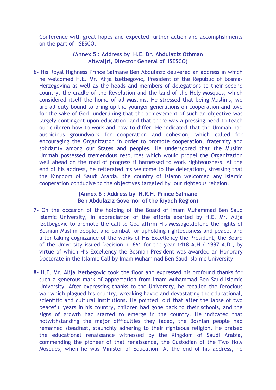Conference with great hopes and expected further action and accomplishments on the part of ISESCO.

### **(Annex 5 : Address by H.E. Dr. Abdulaziz Othman Altwaijri, Director General of ISESCO)**

**6-** His Royal Highness Prince Salmane Ben Abdulaziz delivered an address in which he welcomed H.E. Mr. Alija Izetbegovic, President of the Republic of Bosnia-Herzegovina as well as the heads and members of delegations to their second country, the cradle of the Revelation and the land of the Holy Mosques, which considered itself the home of all Muslims. He stressed that being Muslims, we are all duty-bound to bring up the younger generations on cooperation and love for the sake of God, underlining that the achievement of such an objective was largely contingent upon education, and that there was a pressing need to teach our children how to work and how to differ. He indicated that the Ummah had auspicious groundwork for cooperation and cohesion, which called for encouraging the Organization in order to promote cooperation, fraternity and solidarity among our States and peoples. He underscored that the Muslim Ummah possessed tremendous resources which would propel the Organization well ahead on the road of progress if harnessed to work righteousness. At the end of his address, he reiterated his welcome to the delegations, stressing that the Kingdom of Saudi Arabia, the country of Islamn welcomed any Islamic cooperation conducive to the objectives targeted by our righteous religion.

#### **(Annex 6 : Address by H.R.H. Prince Salmane Ben Abdulaziz Governor of the Riyadh Region)**

- **7-** On the occasion of the holding of the Board of Imam Muhammad Ben Saud Islamic University, in appreciation of the efforts exerted by H.E. Mr. Alija Izetbegovic to promote the call to God affirm His Message,defend the rights of Bosnian Muslim people, and combat for upholding righteousness and peace, and after taking cognizance of the works of His Excellency the President, the Board of the University issued Decision n 661 for the year 1418 A.H./ 1997 A.D., by virtue of which His Excellency the Bosnian President was awarded an Honorary Doctorate in the Islamic Call by Imam Muhammad Ben Saud Islamic University.
- **8-** H.E. Mr. Alija Izetbegovic took the floor and expressed his profound thanks for such a generous mark of appreciation from Imam Muhammad Ben Saud Islamic University. After expressing thanks to the University, he recalled the ferocious war which plagued his country, wreaking havoc and devastating the educational, scientific and cultural institutions. He pointed out that after the lapse of two peaceful years in his country, children had gone back to their schools, and the signs of growth had started to emerge in the country. He indicated that notwithstanding the major difficulties they faced, the Bosnian people had remained steadfast, staunchly adhering to their righteous religion. He praised the educational renaissance witnessed by the Kingdom of Saudi Arabia, commending the pioneer of that renaissance, the Custodian of the Two Holy Mosques, when he was Minister of Education. At the end of his address, he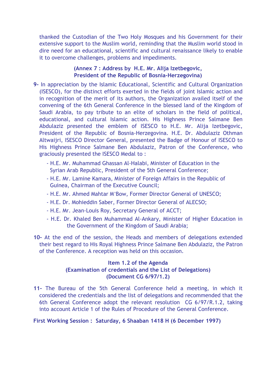thanked the Custodian of the Two Holy Mosques and his Government for their extensive support to the Muslim world, reminding that the Muslim world stood in dire need for an educational, scientific and cultural renaissance likely to enable it to overcome challenges, problems and impediments.

#### **(Annex 7 : Address by H.E. Mr. Alija Izetbegovic, President of the Republic of Bosnia-Herzegovina)**

- **9-** In appreciation by the Islamic Educational, Scientific and Cultural Organization (ISESCO), for the distinct efforts exerted in the fields of joint Islamic action and in recognition of the merit of its authors, the Organization availed itself of the convening of the 6th General Conference in the blessed land of the Kingdom of Saudi Arabia, to pay tribute to an elite of scholars in the field of political, educational, and cultural Islamic action. His Highness Prince Salmane Ben Abdulaziz presented the emblem of ISESCO to H.E. Mr. Alija Izetbegovic, President of the Republic of Bosnia-Herzegovina. H.E. Dr. Abdulaziz Othman Altwaijri, ISESCO Director General, presented the Badge of Honour of ISESCO to His Highness Prince Salmane Ben Abdulaziz, Patron of the Conference, who graciously presented the ISESCO Medal to :
	- H.E. Mr. Muhammad Ghassan Al-Halabi, Minister of Education in the Syrian Arab Republic, President of the 5th General Conference;
	- H.E. Mr. Lamine Kamara, Minister of Foreign Affairs in the Republic of Guinea, Chairman of the Executive Council;
	- H.E. Mr. Ahmed Mahtar M'Bow, Former Director General of UNESCO;
	- H.E. Dr. Mohieddin Saber, Former Director General of ALECSO;
	- H.E. Mr. Jean-Louis Roy, Secretary General of ACCT;
	- H.E. Dr. Khaled Ben Muhammad Al-Ankary, Minister of Higher Education in the Government of the Kingdom of Saudi Arabia;
- **10-** At the end of the session, the Heads and members of delegations extended their best regard to His Royal Highness Prince Salmane Ben Abdulaziz, the Patron of the Conference. A reception was held on this occasion.

# **Item 1.2 of the Agenda (Examination of credentials and the List of Delegations) (Document CG 6/97/1.2)**

**11-** The Bureau of the 5th General Conference held a meeting, in which it considered the credentials and the list of delegations and recommended that the 6th General Conference adopt the relevant resolution CG 6/97/R.1.2, taking into account Article 1 of the Rules of Procedure of the General Conference.

# **First Working Session : Saturday, 6 Shaaban 1418 H (6 December 1997)**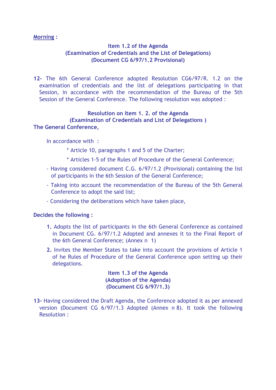#### **Morning :**

# **Item 1.2 of the Agenda (Examination of Credentials and the List of Delegations) (Document CG 6/97/1.2 Provisional)**

**12-** The 6th General Conference adopted Resolution CG6/97/R. 1.2 on the examination of credentials and the list of delegations participating in that Session, in accordance with the recommendation of the Bureau of the 5th Session of the General Conference. The following resolution was adopted :

#### **Resolution on Item 1. 2. of the Agenda (Examination of Credentials and List of Delegations ) The General Conference,**

In accordance with :

\* Article 10, paragraphs 1 and 5 of the Charter;

- \* Articles 1-5 of the Rules of Procedure of the General Conference;
- Having considered document C.G. 6/97/1.2 (Provisional) containing the list of participants in the 6th Session of the General Conference;
- Taking into account the recommendation of the Bureau of the 5th General Conference to adopt the said list;
- Considering the deliberations which have taken place,

#### **Decides the following :**

- **1.** Adopts the list of participants in the 6th General Conference as contained in Document CG. 6/97/1.2 Adopted and annexes it to the Final Report of the 6th General Conference; (Annex n 1)
- **2.** Invites the Member States to take into account the provisions of Article 1 of he Rules of Procedure of the General Conference upon setting up their delegations.

**Item 1.3 of the Agenda (Adoption of the Agenda) (Document CG 6/97/1.3)** 

**13-** Having considered the Draft Agenda, the Conference adopted it as per annexed version (Document CG 6/97/1.3 Adopted (Annex n 8). It took the following Resolution :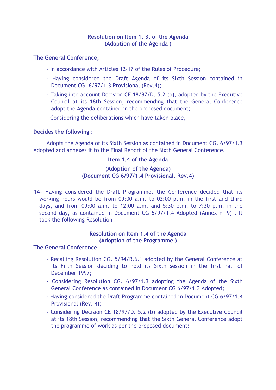#### **Resolution on Item 1. 3. of the Agenda (Adoption of the Agenda )**

#### **The General Conference,**

- In accordance with Articles 12-17 of the Rules of Procedure;
- Having considered the Draft Agenda of its Sixth Session contained in Document CG. 6/97/1.3 Provisional (Rev.4);
- Taking into account Decision CE 18/97/D. 5.2 (b), adopted by the Executive Council at its 18th Session, recommending that the General Conference adopt the Agenda contained in the proposed document;
- Considering the deliberations which have taken place,

#### **Decides the following :**

Adopts the Agenda of its Sixth Session as contained in Document CG. 6/97/1.3 Adopted and annexes it to the Final Report of the Sixth General Conference.

#### **Item 1.4 of the Agenda**

#### **(Adoption of the Agenda) (Document CG 6/97/1.4 Provisional, Rev.4)**

**14-** Having considered the Draft Programme, the Conference decided that its working hours would be from 09:00 a.m. to 02:00 p.m. in the first and third days, and from 09:00 a.m. to 12:00 a.m. and 5:30 p.m. to 7:30 p.m. in the second day, as contained in Document CG 6/97/1.4 Adopted (Annex n 9). It took the following Resolution :

# **Resolution on Item 1.4 of the Agenda (Adoption of the Programme )**

- Recalling Resolution CG. 5/94/R.6.1 adopted by the General Conference at its Fifth Session deciding to hold its Sixth session in the first half of December 1997;
- Considering Resolution CG. 6/97/1.3 adopting the Agenda of the Sixth General Conference as contained in Document CG 6/97/1.3 Adopted;
- Having considered the Draft Programme contained in Document CG 6/97/1.4 Provisional (Rev. 4);
- Considering Decision CE 18/97/D. 5.2 (b) adopted by the Executive Council at its 18th Session, recommending that the Sixth General Conference adopt the programme of work as per the proposed document;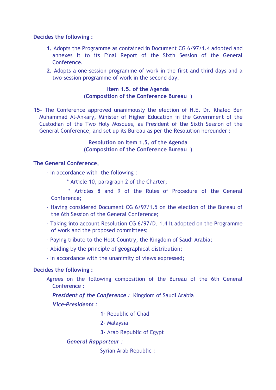#### **Decides the following :**

- **1.** Adopts the Programme as contained in Document CG 6/97/1.4 adopted and annexes it to its Final Report of the Sixth Session of the General Conference.
- **2.** Adopts a one-session programme of work in the first and third days and a two-session programme of work in the second day.

# **Item 1.5. of the Agenda (Composition of the Conference Bureau )**

**15-** The Conference approved unanimously the election of H.E. Dr. Khaled Ben Muhammad Al-Ankary, Minister of Higher Education in the Government of the Custodian of the Two Holy Mosques, as President of the Sixth Session of the General Conference, and set up its Bureau as per the Resolution hereunder :

#### **Resolution on Item 1.5. of the Agenda (Composition of the Conference Bureau )**

# **The General Conference,**

- In accordance with the following :
	- \* Article 10, paragraph 2 of the Charter;
	- \* Articles 8 and 9 of the Rules of Procedure of the General Conference;
- Having considered Document CG 6/97/1.5 on the election of the Bureau of the 6th Session of the General Conference;
- Taking into account Resolution CG 6/97/D. 1.4 it adopted on the Programme of work and the proposed committees;
- Paying tribute to the Host Country, the Kingdom of Saudi Arabia;
- Abiding by the principle of geographical distribution;
- In accordance with the unanimity of views expressed;

# **Decides the following :**

Agrees on the following composition of the Bureau of the 6th General Conference :

 *President of the Conference :* Kingdom of Saudi Arabia

# *Vice-Presidents :*

- **1-** Republic of Chad
- **2-** Malaysia
- **3-** Arab Republic of Egypt

# *General Rapporteur :*

Syrian Arab Republic :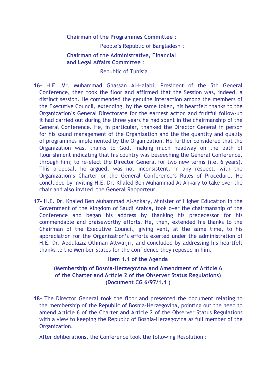#### **Chairman of the Programmes Committee** :

People's Republic of Bangladesh :

# **Chairman of the Administrative, Financial and Legal Affairs Committee** :

#### Republic of Tunisia

- **16-** H.E. Mr. Muhammad Ghassan Al-Halabi, President of the 5th General Conference, then took the floor and affirmed that the Session was, indeed, a distinct session. He commended the genuine interaction among the members of the Executive Council, extending, by the same token, his heartfelt thanks to the Organization's General Directorate for the earnest action and fruitful follow-up it had carried out during the three years he had spent in the chairmanship of the General Conference. He, in particular, thanked the Director General in person for his sound management of the Organization and the the quantity and quality of programmes implemented by the Organization. He further considered that the Organization was, thanks to God, making much headway on the path of flourishment indicating that his country was beseeching the General Conference, through him; to re-elect the Director General for two new terms (i.e. 6 years). This proposal, he argued, was not inconsistent, in any respect, with the Organization's Charter or the General Conference's Rules of Procedure. He concluded by inviting H.E. Dr. Khaled Ben Muhammad Al-Ankary to take over the chair and also invited the General Rapporteur.
- **17-** H.E. Dr. Khaled Ben Muhammad Al-Ankary, Minister of Higher Education in the Government of the Kingdom of Saudi Arabia, took over the chairmanship of the Conference and began his address by thanking his predecessor for his commendable and praiseworthy efforts. He, then, extended his thanks to the Chairman of the Executive Council, giving vent, at the same time, to his appreciation for the Organization's efforts exerted under the administration of H.E. Dr. Abdulaziz Othman Altwaijri, and concluded by addressing his heartfelt thanks to the Member States for the confidence they reposed in him.

#### **Item 1.1 of the Agenda**

#### **(Membership of Bosnia-Herzegovina and Amendment of Article 6 of the Charter and Article 2 of the Observer Status Regulations) (Document CG 6/97/1.1 )**

**18-** The Director General took the floor and presented the document relating to the membership of the Republic of Bosnia-Herzegovina, pointing out the need to amend Article 6 of the Charter and Article 2 of the Observer Status Regulations with a view to keeping the Republic of Bosnia-Herzegovina as full member of the Organization.

After deliberations, the Conference took the following Resolution :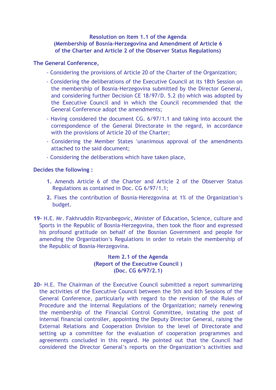# **Resolution on Item 1.1 of the Agenda (Membership of Bosnia-Herzegovina and Amendment of Article 6 of the Charter and Article 2 of the Observer Status Regulations)**

# **The General Conference,**

- Considering the provisions of Article 20 of the Charter of the Organization;
- Considering the deliberations of the Executive Council at its 18th Session on the membership of Bosnia-Herzegovina submitted by the Director General, and considering further Decision CE 18/97/D. 5.2 (b) which was adopted by the Executive Council and in which the Council recommended that the General Conference adopt the amendments;
- Having considered the document CG. 6/97/1.1 and taking into account the correspondence of the General Directorate in the regard, in accordance with the provisions of Article 20 of the Charter;
- Considering the Member States 'unanimous approval of the amendments attached to the said document;
- Considering the deliberations which have taken place,

#### **Decides the following :**

- **1.** Amends Article 6 of the Charter and Article 2 of the Observer Status Regulations as contained in Doc. CG 6/97/1.1;
- **2.** Fixes the contribution of Bosnia-Herezgovina at 1% of the Organization's budget.
- **19-** H.E. Mr. Fakhruddin Rizvanbegovic, Minister of Education, Science, culture and Sports in the Republic of Bosnia-Herzegovina, then took the floor and expressed his profound gratitude on behalf of the Bosnian Government and people for amending the Organization's Regulations in order to retain the membership of the Republic of Bosnia-Herzegovina.

**Item 2.1 of the Agenda (Report of the Executive Council ) (Doc. CG 6/97/2.1)** 

**20-** H.E. The Chairman of the Executive Council submitted a report summarizing the activities of the Executive Council between the 5th and 6th Sessions of the General Conference, particularly with regard to the revision of the Rules of Procedure and the Internal Regulations of the Organization; namely renewing the membership of the Financial Control Committee, instating the post of internal financial controller, appointing the Deputy Director General, raising the External Relations and Cooperation Division to the level of Directorate and setting up a committee for the evaluation of cooperation programmes and agreements concluded in this regard. He pointed out that the Council had considered the Director General's reports on the Organization's activities and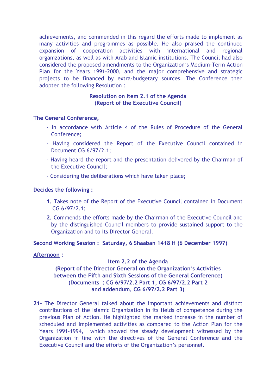achievements, and commended in this regard the efforts made to implement as many activities and programmes as possible. He also praised the continued expansion of cooperation activities with international and regional organizations, as well as with Arab and Islamic institutions. The Council had also considered the proposed amendments to the Organization's Medium-Term Action Plan for the Years 1991-2000, and the major comprehensive and strategic projects to be financed by extra-budgetary sources. The Conference then adopted the following Resolution :

#### **Resolution on Item 2.1 of the Agenda (Report of the Executive Council)**

# **The General Conference,**

- In accordance with Article 4 of the Rules of Procedure of the General Conference;
- Having considered the Report of the Executive Council contained in Document CG 6/97/2.1;
- Having heard the report and the presentation delivered by the Chairman of the Executive Council;
- Considering the deliberations which have taken place;

# **Decides the following :**

- **1.** Takes note of the Report of the Executive Council contained in Document CG 6/97/2.1;
- **2.** Commends the efforts made by the Chairman of the Executive Council and by the distinguished Council members to provide sustained support to the Organization and to its Director General.

**Second Working Session : Saturday, 6 Shaaban 1418 H (6 December 1997)** 

#### **Afternoon :**

#### **Item 2.2 of the Agenda**

**(Report of the Director General on the Organization's Activities between the Fifth and Sixth Sessions of the General Conference) (Documents : CG 6/97/2.2 Part 1, CG 6/97/2.2 Part 2 and addendum, CG 6/97/2.2 Part 3)** 

**21-** The Director General talked about the important achievements and distinct contributions of the Islamic Organization in its fields of competence during the previous Plan of Action. He highlighted the marked increase in the number of scheduled and implemented activities as compared to the Action Plan for the Years 1991-1994, which showed the steady development witnessed by the Organization in line with the directives of the General Conference and the Executive Council and the efforts of the Organization's personnel.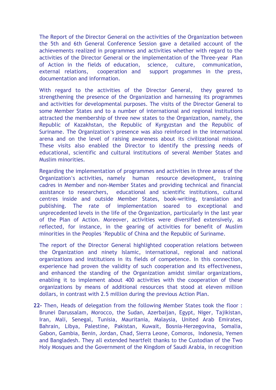The Report of the Director General on the activities of the Organization between the 5th and 6th General Conference Session gave a detailed account of the achievements realized in programmes and activities whether with regard to the activities of the Director General or the implementation of the Three-year Plan of Action in the fields of education, science, culture, communication, external relations, cooperation and support progammes in the press, documentation and information.

With regard to the activities of the Director General, they geared to strengthening the presence of the Organization and harnessing its programmes and activities for developmental purposes. The visits of the Director General to some Member States and to a number of international and regional institutions attracted the membership of three new states to the Organization, namely, the Republic of Kazakhstan, the Republic of Kyrgyzstan and the Republic of Suriname. The Organization's presence was also reinforced in the international arena and on the level of raising awareness about its civilizational mission. These visits also enabled the Director to identify the pressing needs of educational, scientific and cultural institutions of several Member States and Muslim minorities.

Regarding the implementation of programmes and activities in three areas of the Organization's activities, namely human resource development, training cadres in Member and non-Member States and providing technical and financial assistance to researchers, educational and scientific institutions, cultural centres inside and outside Member States, book-writing, translation and publishing. The rate of implementation soared to exceptional and unprecedented levels in the life of the Organization, particularly in the last year of the Plan of Action. Moreover, activities were diversified extensively, as reflected, for instance, in the gearing of activities for benefit of Muslim minorities in the Peoples 'Republic of China and the Republic of Suriname.

The report of the Director General highlighted cooperation relations between the Organization and ninety Islamic, international, regional and national organizations and institutions in its fields of competence. In this connection, experience had proven the validity of such cooperation and its effectiveness, and enhanced the standing of the Organization amidst similar organizations, enabling it to implement about 400 activities with the cooperation of these organizations by means of additional resources that stood at eleven million dollars, in contrast with 2.5 million during the previous Action Plan.

**22-** Then, Heads of delegation from the following Member States took the floor : Brunei Darussalam, Morocco, the Sudan, Azerbaijan, Egypt, Niger, Tajikistan, Iran, Mali, Senegal, Tunisia, Mauritania, Malaysia, United Arab Emirates, Bahrain, Libya, Palestine, Pakistan, Kuwait, Bosnia-Herzegovina, Somalia, Gabon, Gambia, Benin, Jordan, Chad, Sierra Leone, Comoros, Indonesia, Yemen and Bangladesh. They all extended heartfelt thanks to the Custodian of the Two Holy Mosques and the Government of the Kingdom of Saudi Arabia, in recognition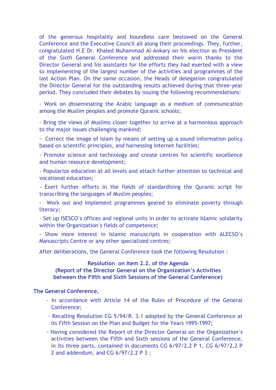of the generous hospitality and boundless care bestowed on the General Conference and the Executive Council all along their proceedings. They, further, congratulated H.E Dr. Khaled Muhammad Al-Ankary on his election as President of the Sixth General Conference and addressed their warm thanks to the Director General and his assistants for the efforts they had exerted with a view to implementing of the largest number of the activities and programmes of the last Action Plan. On the same occasion, the Heads of delegation congratulated the Director General for the outstanding results achieved during that three-year period. They concluded their debates by issuing the following recommendations:

- Work on disseminating the Arabic language as a medium of communication among the Muslim peoples and promote Quranic schools;

- Bring the views of Muslims closer together to arrive at a harmonious approach to the major issues challenging mankind;

- Correct the image of Islam by means of setting up a sound information policy based on scientific principles, and harnessing Internet facilities;

- Promote science and technology and create centres for scientific excellence and human resource development;

- Popularize education at all levels and attach further attention to technical and vocational education;

- Exert further efforts in the fields of standardizing the Quranic script for transcribing the languages of Muslim peoples;

- Work out and implement programmes geared to eliminate poverty through literacy;

- Set up ISESCO's offices and regional units in order to activate Islamic solidarity within the Organization's fields of competence;

- Show more interest in Islamic manuscripts in cooperation with ALECSO's Manuscripts Centre or any other specialized centres;

After deliberations, the General Conference took the following Resolution :

#### **Resolution on Item 2.2. of the Agenda (Report of the Director General on the Organization's Activities between the Fifth and Sixth Sessions of the General Conference)**

- In accordance with Article 14 of the Rules of Procedure of the General Conference;
- Recalling Resolution CG 5/94/R. 3.1 adopted by the General Conference at its Fifth Session on the Plan and Budget for the Years 1995-1997;
- Having considered the Report of the Director General on the Organization's activities between the Fifth and Sixth sessions of the General Conference, in its three parts, contained in documents CG 6/97/2.2 P 1, CG 6/97/2.2 P 2 and addendum, and CG 6/97/2.2 P 3 ;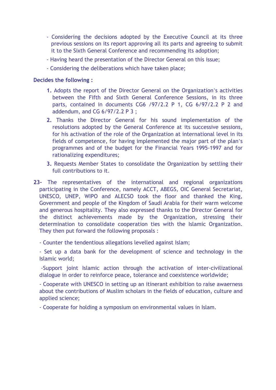- Considering the decisions adopted by the Executive Council at its three previous sessions on its report approving all its parts and agreeing to submit it to the Sixth General Conference and recommending its adoption;
- Having heard the presentation of the Director General on this issue;
- Considering the deliberations which have taken place;

#### **Decides the following :**

- **1.** Adopts the report of the Director General on the Organization's activities between the Fifth and Sixth General Conference Sessions, in its three parts, contained in documents CG6 /97/2.2 P 1, CG 6/97/2.2 P 2 and addendum, and CG 6/97/2.2 P 3 ;
- **2.** Thanks the Director General for his sound implementation of the resolutions adopted by the General Conference at its successive sessions, for his activation of the role of the Organization at international level in its fields of competence, for having implemented the major part of the plan's programmes and of the budget for the Financial Years 1995-1997 and for rationalizing expenditures;
- **3.** Requests Member States to consolidate the Organization by settling their full contributions to it.
- **23-** The representatives of the international and regional organizations participating in the Conference, namely ACCT, ABEGS, OIC General Secretariat, UNESCO, UNEP, WIPO and ALECSO took the floor and thanked the King, Government and people of the Kingdom of Saudi Arabia for their warm welcome and generous hospitality. They also expressed thanks to the Director General for the distinct achievements made by the Organization, stressing their determination to consolidate cooperation ties with the Islamic Organization. They then put forward the following proposals :

- Counter the tendentious allegations levelled against Islam;

- Set up a data bank for the development of science and technology in the Islamic world;

 -Support joint Islamic action through the activation of inter-civilizational dialogue in order to reinforce peace, tolerance and coexistence worldwide;

- Cooperate with UNESCO in setting up an itinerant exhibition to raise awaerness about the contributions of Muslim scholars in the fields of education, culture and applied science;

- Cooperate for holding a symposium on environmental values in Islam.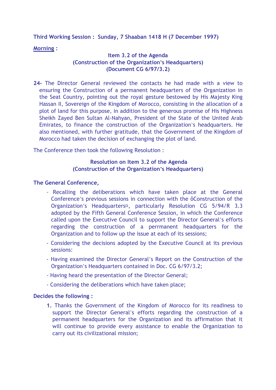**Third Working Session : Sunday, 7 Shaaban 1418 H (7 December 1997)** 

**Morning :** 

# **Item 3.2 of the Agenda (Construction of the Organization's Headquarters) (Document CG 6/97/3.2)**

**24-** The Director General reviewed the contacts he had made with a view to ensuring the Construction of a permanent headquarters of the Organization in the Seat Country, pointing out the royal gesture bestowed by His Majesty King Hassan II, Sovereign of the Kingdom of Morocco, consisting in the allocation of a plot of land for this purpose, in addition to the generous promise of His Highness Sheikh Zayed Ben Sultan Al-Nahyan, President of the State of the United Arab Emirates, to finance the construction of the Organization's headquarters. He also mentioned, with further gratitude, that the Government of the Kingdom of Morocco had taken the decision of exchanging the plot of land.

The Conference then took the following Resolution :

# **Resolution on Item 3.2 of the Agenda (Construction of the Organization's Headquarters)**

# **The General Conference,**

- Recalling the deliberations which have taken place at the General Conference's previous sessions in connection with the ôConstruction of the Organization's Headquarters¤, particularly Resolution CG 5/94/R 3.3 adopted by the Fifth General Conference Session, in which the Conference called upon the Executive Council to support the Director General's efforts regarding the construction of a perrmanent headquarters for the Organization and to follow up the issue at each of its sessions;
- Considering the decisions adopted by the Executive Council at its previous sessions:
- Having examined the Director General's Report on the Construction of the Organization's Headquarters contained in Doc. CG 6/97/3.2;
- Having heard the presentation of the Director General;
- Considering the deliberations which have taken place;

#### **Decides the following :**

**1.** Thanks the Government of the Kingdom of Morocco for its readiness to support the Director General's efforts regarding the construction of a permanent headquarters for the Organization and its affirmation that it will continue to provide every assistance to enable the Organization to carry out its civilizational mission;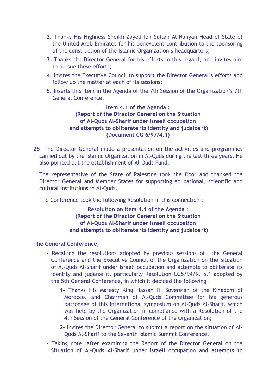- **2.** Thanks His Highness Sheikh Zayed Ibn Sultan Al-Nahyan Head of State of the United Arab Emirates for his benevolent contribution to the sponsoring of the construction of the Islamic Organization's headquarters;
- **3.** Thanks the Director General for his efforts in this regard, and invites him to pursue these efforts;
- **4**. Invites the Executive Council to support the Director General's efforts and follow up the matter at each of its sessions;
- **5.** Inserts this item in the Agenda of the 7th Session of the Organization's 7th General Conference.

**Item 4.1 of the Agenda : (Report of the Director General on the Situation of Al-Quds Al-Sharif under Israeli occupation and attempts to obliterate its identity and judaize it) (Document CG 6/97/4.1)** 

**25-** The Director General made a presentation on the activities and programmes carried out by the Islamic Organization in Al-Quds during the last three years. He also pointed out the establishment of Al-Quds Fund.

The representative of the State of Palestine took the floor and thanked the Director General and Member States for supporting educational, scientific and cultural institutions in Al-Quds.

The Conference took the following Resolution in this connection :

**Resolution on Item 4.1 of the Agenda : (Report of the Director General on the Situation of Al-Quds Al-Sharif under Israeli occupation and attempts to obliterate its identity and judaize it)** 

- Recalling the resolutions adopted by previous sessions of the General Conference and the Executive Council of the Organization on the Situation of Al-Quds Al-Sharif under Israeli occupation and attempts to obliterate its identity and judaize it, particularly Resolution CG5/94/R. 5.1 adopted by the 5th General Conference, in which it decided the following :
	- **1-** Thanks His Majesty King Hassan II, Sovereign of the Kingdom of Morocco, and Chairman of Al-Quds Committee for his generous patronage of this international symposium on Al-Quds Al-Sharif, which was held by the Organization in compliance with a Resolution of the 4th Session of the General Conference of the Organization;
	- **2-** Invites the Director General to submit a report on the situation of Al-Quds Al-Sharif to the Seventh Islamic Summit Conference.
- Taking note, after examining the Report of the Director General on the Situation of Al-Quds Al-Sharif under Israeli occupation and attempts to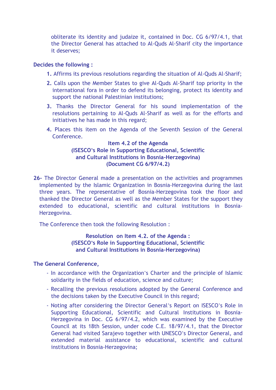obliterate its identity and judaize it, contained in Doc. CG 6/97/4.1, that the Director General has attached to Al-Quds Al-Sharif city the importance it deserves;

#### **Decides the following :**

- **1.** Affirms its previous resolutions regarding the situation of Al-Quds Al-Sharif;
- **2.** Calls upon the Member States to give Al-Quds Al-Sharif top priority in the international fora in order to defend its belonging, protect its identity and support the national Palestinian institutions;
- **3.** Thanks the Director General for his sound implementation of the resolutions pertaining to Al-Quds Al-Sharif as well as for the efforts and initiatives he has made in this regard;
- **4.** Places this item on the Agenda of the Seventh Session of the General **Conference**

#### **Item 4.2 of the Agenda (ISESCO's Role in Supporting Educational, Scientific and Cultural Institutions in Bosnia-Herzegovina) (Document CG 6/97/4.2)**

**26-** The Director General made a presentation on the activities and programmes implemented by the Islamic Organization in Bosnia-Herzegovina during the last three years. The representative of Bosnia-Herzegovina took the floor and thanked the Director General as well as the Member States for the support they extended to educational, scientific and cultural institutions in Bosnia-Herzegovina.

The Conference then took the following Resolution :

**Resolution on Item 4.2. of the Agenda : (ISESCO's Role in Supporting Educational, Scientific and Cultural Institutions in Bosnia-Herzegovina)** 

- In accordance with the Organization's Charter and the principle of Islamic solidarity in the fields of education, science and culture;
- Recalling the previous resolutions adopted by the General Conference and the decisions taken by the Executive Council in this regard;
- Noting after considering the Director General's Report on ISESCO's Role in Supporting Educational, Scientific and Cultural Institutions in Bosnia-Herzegovina in Doc. CG 6/97/4.2, which was examined by the Executive Council at its 18th Session, under code C.E. 18/97/4.1, that the Director General had visited Sarajevo together with UNESCO's Director General, and extended material assistance to educational, scientific and cultural institutions in Bosnia-Herzegovina;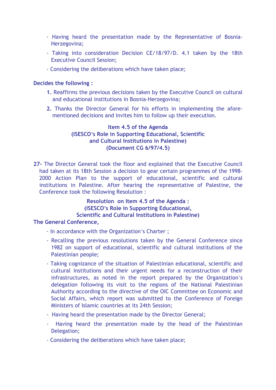- Having heard the presentation made by the Representative of Bosnia-Herzegovina;
- Taking into consideration Decision CE/18/97/D. 4.1 taken by the 18th Executive Council Session;
- Considering the deliberations which have taken place;

# **Decides the following :**

- **1.** Reaffirms the previous decisions taken by the Executive Council on cultural and educational institutions in Bosnia-Herzegovina;
- **2.** Thanks the Director General for his efforts in implementing the aforementioned decisions and invites him to follow up their execution.

# **Item 4.5 of the Agenda (ISESCO's Role in Supporting Educational, Scientific and Cultural Institutions in Palestine) (Document CG 6/97/4.5)**

**27-** The Director General took the floor and explained that the Executive Council had taken at its 18th Session a decision to gear certain programmes of the 1998- 2000 Action Plan to the support of educational, scientific and cultural institutions in Palestine. After hearing the representative of Palestine, the Conference took the following Resolution :

> **Resolution on Item 4.5 of the Agenda : (ISESCO's Role in Supporting Educational, Scientific and Cultural Institutions in Palestine)**

- In accordance with the Organization's Charter ;
- Recalling the previous resolutions taken by the General Conference since 1982 on support of educational, scientific and cultural institutions of the Palestinian people;
- Taking cognizance of the situation of Palestinian educational, scientific and cultural institutions and their urgent needs for a reconstruction of their infrastructures, as noted in the report prepared by the Organization's delegation following its visit to the regions of the National Palestinian Authority according to the directive of the OIC Committee on Economic and Social Affairs, which report was submitted to the Conference of Foreign Ministers of Islamic countries at its 24th Session;
- Having heard the presentation made by the Director General;
- Having heard the presentation made by the head of the Palestinian Delegation;
- Considering the deliberations which have taken place;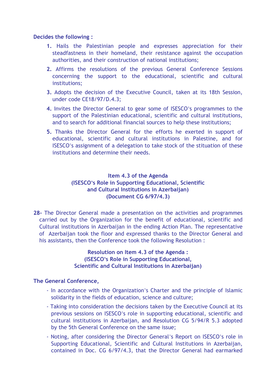#### **Decides the following :**

- **1.** Hails the Palestinian people and expresses appreciation for their steadfastness in their homeland, their resistance against the occupation authorities, and their construction of national institutions;
- **2.** Affirms the resolutions of the previous General Conference Sessions concerning the support to the educational, scientific and cultural institutions;
- **3.** Adopts the decision of the Executive Council, taken at its 18th Session, under code CE18/97/D.4.3;
- **4.** Invites the Director General to gear some of ISESCO's programmes to the support of the Palestinian educational, scientific and cultural institutions, and to search for additional financial sources to help these institutions;
- **5.** Thanks the Director General for the efforts he exerted in support of educational, scientific and cultural institutions in Palestine, and for ISESCO's assignment of a delegation to take stock of the stituation of these institutions and determine their needs.

# **Item 4.3 of the Agenda (ISESCO's Role in Supporting Educational, Scientific and Cultural Institutions in Azerbaijan) (Document CG 6/97/4.3)**

**28-** The Director General made a presentation on the activities and programmes carried out by the Organization for the benefit of educational, scientific and Cultural institutions in Azerbaijan in the ending Action Plan. The representative of Azerbaijan took the floor and expressed thanks to the Director General and his assistants, then the Conference took the following Resolution :

# **Resolution on Item 4.3 of the Agenda : (ISESCO's Role in Supporting Educational, Scientific and Cultural Institutions in Azerbaijan)**

- In accordance with the Organization's Charter and the principle of Islamic solidarity in the fields of education, science and culture;
- Taking into consideration the decisions taken by the Executive Council at its previous sessions on ISESCO's role in supporting educational, scientific and cultural institutions in Azerbaijan, and Resolution CG 5/94/R 5.3 adopted by the 5th General Conference on the same issue;
- Noting, after considering the Director General's Report on ISESCO's role in Supporting Educational, Scientific and Cultural Institutions in Azerbaijan, contained in Doc. CG 6/97/4.3, that the Director General had earmarked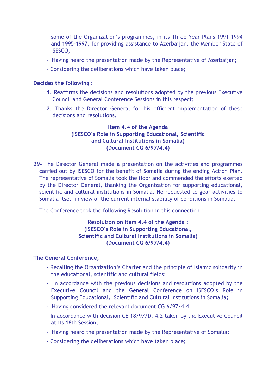some of the Organization's programmes, in its Three-Year Plans 1991-1994 and 1995-1997, for providing assistance to Azerbaijan, the Member State of ISESCO;

- Having heard the presentation made by the Representative of Azerbaijan;
- Considering the deliberations which have taken place;

#### **Decides the following :**

- **1.** Reaffirms the decisions and resolutions adopted by the previous Executive Council and General Conference Sessions in this respect;
- **2.** Thanks the Director General for his efficient implementation of these decisions and resolutions.

# **Item 4.4 of the Agenda (ISESCO's Role in Supporting Educational, Scientific and Cultural Institutions in Somalia) (Document CG 6/97/4.4)**

**29-** The Director General made a presentation on the activities and programmes carried out by ISESCO for the benefit of Somalia during the ending Action Plan. The representative of Somalia took the floor and commended the efforts exerted by the Director General, thanking the Organization for supporting educational, scientific and cultural institutions in Somalia. He requested to gear activities to Somalia itself in view of the current internal stability of conditions in Somalia.

The Conference took the following Resolution in this connection :

# **Resolution on Item 4.4 of the Agenda : (ISESCO's Role in Supporting Educational, Scientific and Cultural Institutions in Somalia) (Document CG 6/97/4.4)**

- Recalling the Organization's Charter and the principle of Islamic solidarity in the educational, scientific and cultural fields;
- In accordance with the previous decisions and resolutions adopted by the Executive Council and the General Conference on ISESCO's Role in Supporting Educational, Scientific and Cultural Institutions in Somalia;
- Having considered the relevant document CG 6/97/4.4;
- In accordance with decision CE 18/97/D. 4.2 taken by the Executive Council at its 18th Session;
- Having heard the presentation made by the Representative of Somalia;
- Considering the deliberations which have taken place;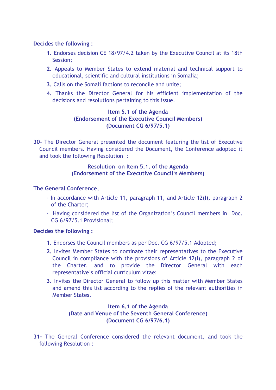#### **Decides the following :**

- **1.** Endorses decision CE 18/97/4.2 taken by the Executive Council at its 18th Session;
- **2.** Appeals to Member States to extend material and technical support to educational, scientific and cultural institutions in Somalia;
- **3.** Calls on the Somali factions to reconcile and unite;
- **4.** Thanks the Director General for his efficient implementation of the decisions and resolutions pertaining to this issue.

# **Item 5.1 of the Agenda (Endorsement of the Executive Council Members) (Document CG 6/97/5.1)**

**30-** The Director General presented the document featuring the list of Executive Council members. Having considered the Document, the Conference adopted it and took the following Resolution :

# **Resolution on Item 5.1. of the Agenda (Endorsement of the Executive Council's Members)**

# **The General Conference,**

- In accordance with Article 11, paragraph 11, and Article 12(I), paragraph 2 of the Charter;
- Having considered the list of the Organization's Council members in Doc. CG 6/97/5.1 Provisional;

#### **Decides the following :**

- **1.** Endorses the Council members as per Doc. CG 6/97/5.1 Adopted;
- **2.** Invites Member States to nominate their representatives to the Executive Council in compliance with the provisions of Article 12(I), paragraph 2 of the Charter, and to provide the Director General with each representative's official curriculum vitae;
- **3.** Invites the Director General to follow up this matter with Member States and amend this list according to the replies of the relevant authorities in Member States.

# **Item 6.1 of the Agenda (Date and Venue of the Seventh General Conference) (Document CG 6/97/6.1)**

**31-** The General Conference considered the relevant document, and took the following Resolution :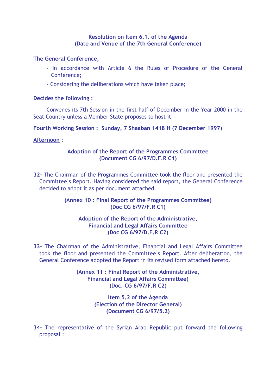#### **Resolution on Item 6.1. of the Agenda (Date and Venue of the 7th General Conference)**

#### **The General Conference,**

- In accordance with Article 6 the Rules of Procedure of the General Conference;
- Considering the deliberations which have taken place;

#### **Decides the following :**

Convenes its 7th Session in the first half of December in the Year 2000 in the Seat Country unless a Member State proposes to host it.

**Fourth Working Session : Sunday, 7 Shaaban 1418 H (7 December 1997)** 

# **Afternoon :**

# **Adoption of the Report of the Programmes Committee (Document CG 6/97/D.F.R C1)**

**32-** The Chairman of the Programmes Committee took the floor and presented the Committee's Report. Having considered the said report, the General Conference decided to adopt it as per document attached.

# **(Annex 10 : Final Report of the Programmes Committee) (Doc CG 6/97/F.R C1)**

# **Adoption of the Report of the Administrative, Financial and Legal Affairs Committee (Doc CG 6/97/D.F.R C2)**

**33-** The Chairman of the Administrative, Financial and Legal Affairs Committee took the floor and presented the Committee's Report. After deliberation, the General Conference adopted the Report in its revised form attached hereto.

> **(Annex 11 : Final Report of the Administrative, Financial and Legal Affairs Committee) (Doc. CG 6/97/F.R C2)**

> > **Item 5.2 of the Agenda (Election of the Director General) (Document CG 6/97/5.2)**

**34-** The representative of the Syrian Arab Republic put forward the following proposal :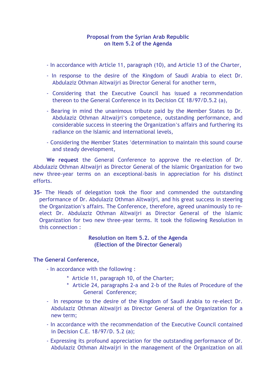#### **Proposal from the Syrian Arab Republic on Item 5.2 of the Agenda**

- In accordance with Article 11, paragraph (10), and Article 13 of the Charter,
- In response to the desire of the Kingdom of Saudi Arabia to elect Dr. Abdulaziz Othman Altwaijri as Director General for another term,
- Considering that the Executive Council has issued a recommendation thereon to the General Conference in its Decision CE 18/97/D.5.2 (a),
- Bearing in mind the unanimous tribute paid by the Member States to Dr. Abdulaziz Othman Altwaijri's competence, outstanding performance, and considerable success in steering the Organization's affairs and furthering its radiance on the Islamic and international levels,
- Considering the Member States 'determination to maintain this sound course and steady development,

**We request** the General Conference to approve the re-election of Dr. Abdulaziz Othman Altwaijri as Director General of the Islamic Organization for two new three-year terms on an exceptional-basis in appreciation for his distinct efforts.

**35-** The Heads of delegation took the floor and commended the outstanding performance of Dr. Abdulaziz Othman Altwaijri, and his great success in steering the Organization's affairs. The Conference, therefore, agreed unanimously to reelect Dr. Abdulaziz Othman Altwaijri as Director General of the Islamic Organization for two new three-year terms. It took the following Resolution in this connection :

# **Resolution on Item 5.2. of the Agenda (Election of the Director General)**

#### **The General Conference,**

- In accordance with the following :

- \* Article 11, paragraph 10, of the Charter;
- \* Article 24, paragraphs 2-a and 2-b of the Rules of Procedure of the General Conference;
- In response to the desire of the Kingdom of Saudi Arabia to re-elect Dr. Abdulaziz Othman Altwaijri as Director General of the Organization for a new term;
- In accordance with the recommendation of the Executive Council contained in Decision C.E. 18/97/D. 5.2 (a);
- Expressing its profound appreciation for the outstanding performance of Dr. Abdulaziz Othman Altwaijri in the management of the Organization on all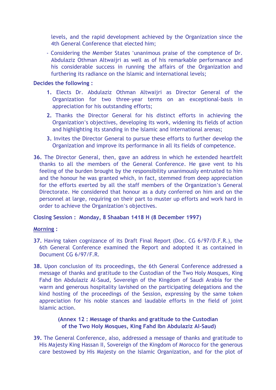levels, and the rapid development achieved by the Organization since the 4th General Conference that elected him;

- Considering the Member States 'unanimous praise of the comptence of Dr. Abdulaziz Othman Altwaijri as well as of his remarkable performance and his considerable success in running the affairs of the Organization and furthering its radiance on the Islamic and international levels;

# **Decides the following :**

- **1.** Elects Dr. Abdulaziz Othman Altwaijri as Director General of the Organization for two three-year terms on an exceptional-basis in appreciation for his outstanding efforts;
- **2.** Thanks the Director General for his distinct efforts in achieving the Organization's objectives, developing its work, widening its fields of action and highlighting its standing in the Islamic and international arenas;
- **3.** Invites the Director General to pursue these efforts to further develop the Organization and improve its performance in all its fields of competence.
- **36.** The Director General, then, gave an address in which he extended heartfelt thanks to all the members of the General Conference. He gave vent to his feeling of the burden brought by the responsibility unanimously entrusted to him and the honour he was granted which, in fact, stemmed from deep appreciation for the efforts exerted by all the staff members of the Organization's General Directorate. He considered that honour as a duty conferred on him and on the personnel at large, requiring on their part to muster up efforts and work hard in order to achieve the Organization's objectives.

# **Closing Session : Monday, 8 Shaaban 1418 H (8 December 1997)**

# **Morning :**

- **37.** Having taken cognizance of its Draft Final Report (Doc. CG 6/97/D.F.R.), the 6th General Conference examined the Report and adopted it as contained in Document CG 6/97/F.R.
- **38.** Upon conclusion of its proceedings, the 6th General Conference addressed a message of thanks and gratitude to the Custodian of the Two Holy Mosques, King Fahd Ibn Abdulaziz Al-Saud, Sovereign of the Kingdom of Saudi Arabia for the warm and generous hospitality lavished on the participating delegations and the kind hosting of the proceedings of the Session, expressing by the same token appreciation for his noble stances and laudable efforts in the field of joint Islamic action.

# **(Annex 12 : Message of thanks and gratitude to the Custodian of the Two Holy Mosques, King Fahd Ibn Abdulaziz Al-Saud)**

**39.** The General Conference, also, addressed a message of thanks and gratitude to His Majesty King Hassan II, Sovereign of the Kingdom of Morocco for the generous care bestowed by His Majesty on the Islamic Organization, and for the plot of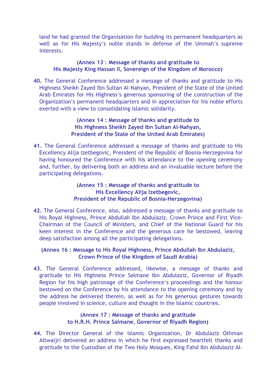land he had granted the Organization for building its permanent headquarters as well as for His Majesty's noble stands in defense of the Ummah's supreme interests.

#### **(Annex 13 : Message of thanks and gratitude to His Majesty King Hassan II, Sovereign of the Kingdom of Morocco)**

**40.** The General Conference addressed a message of thanks and gratitude to His Highness Sheikh Zayed Ibn Sultan Al-Nahyan, President of the State of the United Arab Emirates for His Highness's generous sponsoring of the construction of the Organization's permanent headquarters and in appreciation for his noble efforts exerted with a view to consolidating Islamic solidarity.

#### **(Annex 14 : Message of thanks and gratitude to His Highness Sheikh Zayed Ibn Sultan Al-Nahyan, President of the State of the United Arab Emirates)**

**41.** The General Conference addressed a message of thanks and gratitude to His Excellency Alija Izetbegovic, President of the Republic of Bosnia-Herzegovina for having honoured the Conference with his attendance to the opening ceremony and, further, by delivering both an address and an invaluable lecture before the participating delegations.

# **(Annex 15 : Message of thanks and gratitude to His Excellency Alija Izetbegovic, President of the Republic of Bosnia-Herzegovina)**

**42.** The General Conference, also, addressed a message of thanks and gratitude to His Royal Highness, Prince Abdullah Ibn Abdulaziz, Crown Prince and First Vice-Chairman of the Council of Ministers, and Chief of the National Guard for his keen interest in the Conference and the generous care he bestowed, leaving deep satisfaction among all the participating delegations.

# **(Annex 16 : Message to His Royal Highness, Prince Abdullah Ibn Abdulaziz, Crown Prince of the Kingdom of Saudi Arabia)**

**43.** The General Conference addressed, likewise, a message of thanks and gratitude to His Highness Prince Salmane Ibn Abdulaziz, Governor of Riyadh Region for his high patronage of the Conference's proceedings and the honour bestowed on the Conference by his attendance to the opening ceremony and by the address he delivered therein, as well as for his generous gestures towards people involved in science, culture and thought in the Islamic countries.

# **(Annex 17 : Message of thanks and gratitude to H.R.H. Prince Salmane, Governor of Riyadh Region)**

**44.** The Director General of the Islamic Organization, Dr Abdulaziz Othman Altwaijri delivered an address in which he first expressed heartfelt thanks and gratitude to the Custodian of the Two Holy Mosques, King Fahd Ibn Abdulaziz Al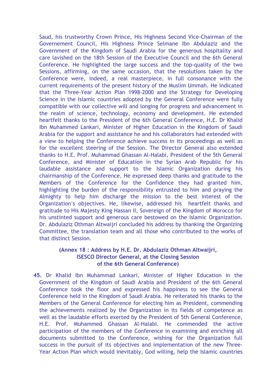Saud, his trustworthy Crown Prince, His Highness Second Vice-Chairman of the Governement Council, His Highness Prince Selmane Ibn Abdulaziz and the Government of the Kingdom of Saudi Arabia for the generous hospitality and care lavished on the 18th Session of the Executive Council and the 6th General Conference. He highlighted the large success and the top-quality of the two Sessions, affirming, on the same occasion, that the resolutions taken by the Conference were, indeed, a real masterpiece, in full consonance with the current requirements of the present history of the Muslim Ummah. He indicated that the Three-Year Action Plan 1998-2000 and the Strategy for Developing Science in the Islamic countries adopted by the General Conference were fully compatible with our collective will and longing for progress and advancement in the realm of science, technology, economy and development. He extended heartfelt thanks to the President of the 6th General Conference, H.E. Dr Khalid Ibn Muhammed Lankari, Minister of Higher Education in the Kingdom of Saudi Arabia for the support and assistance he and his collaborators had extended with a view to helping the Conference achieve success in its proceedings as well as for the excellent steering of the Session. The Director General also extended thanks to H.E. Prof. Muhammad Ghassan Al-Halabi, President of the 5th General Conference, and Minister of Education in the Syrian Arab Republic for his laudable assistance and support to the Islamic Organization during his chairmanship of the Conference. He expressed deep thanks and gratitude to the Members of the Conference for the Confidence they had granted him, highlighting the burden of the responsibility entrusted to him and praying the Almighty to help him discharge the mission to the best interest of the Organization's objectives. He, likewise, addressed his heartfelt thanks and gratitude to His Majesty King Hassan II, Sovereign of the Kingdom of Morocco for his unstinted support and generous care bestowed on the Islamic Organization. Dr. Abdulaziz Othman Altwaijri concluded his address by thanking the Organizing Committee, the translation team and all those who contributed to the works of that distinct Session.

# **(Annex 18 : Address by H.E. Dr. Abdulaziz Othman Altwaijri, ISESCO Director General, at the Closing Session of the 6th General Conference)**

**45.** Dr Khalid Ibn Muhammad Lankari, Minister of Higher Education in the Government of the Kingdom of Saudi Arabia and President of the 6th General Conference took the floor and expressed his happiness to see the General Conference held in the Kingdom of Saudi Arabia. He reiterated his thanks to the Members of the General Conference for electing him as President, commending the achievements realized by the Organization in its fields of competence as well as the laudable efforts exerted by the President of 5th General Conference, H.E. Prof. Muhammed Ghassan Al-Halabi. He commended the active participation of the members of the Conference in examining and enriching all documents submitted to the Conference, wishing for the Organization full success in the pursuit of its objectives and implementation of the new Three-Year Action Plan which would inevitably, God willing, help the Islamic countries